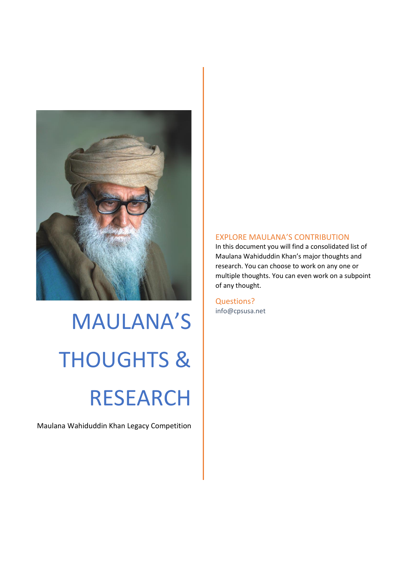

# MAULANA'S THOUGHTS & RESEARCH

Maulana Wahiduddin Khan Legacy Competition

#### EXPLORE MAULANA'S CONTRIBUTION

In this document you will find a consolidated list of Maulana Wahiduddin Khan's major thoughts and research. You can choose to work on any one or multiple thoughts. You can even work on a subpoint of any thought.

Questions? info@cpsusa.net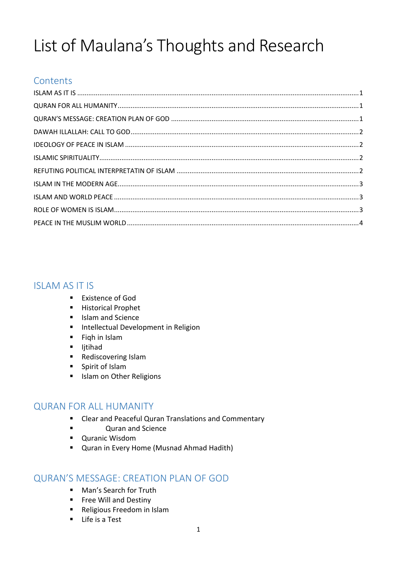# List of Maulana's Thoughts and Research

# **Contents**

# <span id="page-1-0"></span>ISLAM AS IT IS

- Existence of God
- Historical Prophet
- Islam and Science
- Intellectual Development in Religion
- Fiqh in Islam
- Ijtihad
- Rediscovering Islam
- Spirit of Islam
- Islam on Other Religions

## <span id="page-1-1"></span>QURAN FOR ALL HUMANITY

- Clear and Peaceful Quran Translations and Commentary
- Quran and Science
- Quranic Wisdom
- Quran in Every Home (Musnad Ahmad Hadith)

## <span id="page-1-2"></span>QURAN'S MESSAGE: CREATION PLAN OF GOD

- Man's Search for Truth
- Free Will and Destiny
- Religious Freedom in Islam
- Life is a Test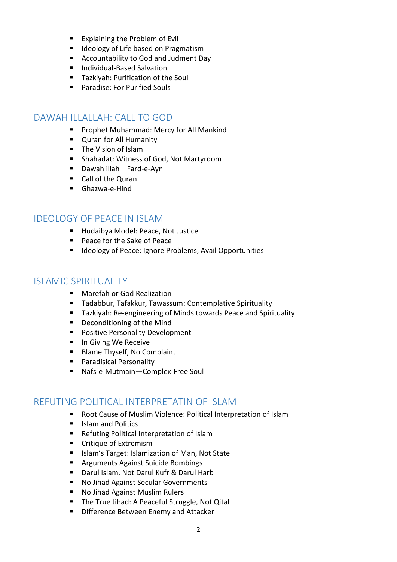- Explaining the Problem of Evil
- Ideology of Life based on Pragmatism
- Accountability to God and Judment Day
- Individual-Based Salvation
- Tazkiyah: Purification of the Soul
- Paradise: For Purified Souls

#### <span id="page-2-0"></span>DAWAH ILLALLAH: CALL TO GOD

- Prophet Muhammad: Mercy for All Mankind
- Quran for All Humanity
- The Vision of Islam
- Shahadat: Witness of God, Not Martyrdom
- Dawah illah—Fard-e-Ayn
- Call of the Quran
- Ghazwa-e-Hind

#### <span id="page-2-1"></span>IDEOLOGY OF PEACE IN ISLAM

- Hudaibya Model: Peace, Not Justice
- Peace for the Sake of Peace
- Ideology of Peace: Ignore Problems, Avail Opportunities

#### <span id="page-2-2"></span>ISLAMIC SPIRITUALITY

- Marefah or God Realization
- Tadabbur, Tafakkur, Tawassum: Contemplative Spirituality
- Tazkiyah: Re-engineering of Minds towards Peace and Spirituality
- Deconditioning of the Mind
- Positive Personality Development
- In Giving We Receive
- Blame Thyself, No Complaint
- Paradisical Personality
- Nafs-e-Mutmain-Complex-Free Soul

#### <span id="page-2-3"></span>REFUTING POLITICAL INTERPRETATIN OF ISLAM

- Root Cause of Muslim Violence: Political Interpretation of Islam
- Islam and Politics
- Refuting Political Interpretation of Islam
- Critique of Extremism
- Islam's Target: Islamization of Man, Not State
- Arguments Against Suicide Bombings
- Darul Islam, Not Darul Kufr & Darul Harb
- No Jihad Against Secular Governments
- No Jihad Against Muslim Rulers
- The True Jihad: A Peaceful Struggle, Not Qital
- Difference Between Enemy and Attacker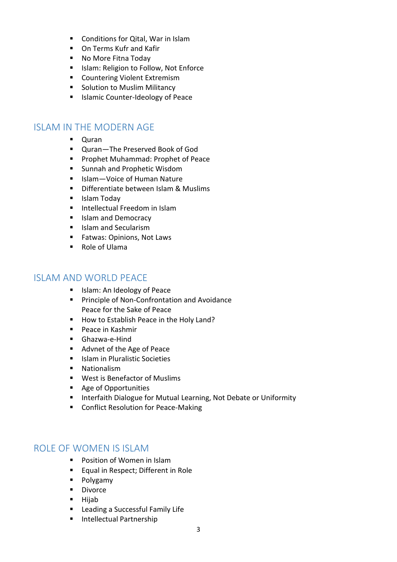- Conditions for Qital, War in Islam
- On Terms Kufr and Kafir
- No More Fitna Today
- Islam: Religion to Follow, Not Enforce
- Countering Violent Extremism
- Solution to Muslim Militancy
- Islamic Counter-Ideology of Peace

#### <span id="page-3-0"></span>ISLAM IN THE MODERN AGE

- Quran
- Quran-The Preserved Book of God
- Prophet Muhammad: Prophet of Peace
- Sunnah and Prophetic Wisdom
- Islam—Voice of Human Nature
- Differentiate between Islam & Muslims
- Islam Todav
- Intellectual Freedom in Islam
- Islam and Democracy
- Islam and Secularism
- Fatwas: Opinions, Not Laws
- Role of Ulama

#### <span id="page-3-1"></span>ISLAM AND WORLD PEACE

- Islam: An Ideology of Peace
- Principle of Non-Confrontation and Avoidance Peace for the Sake of Peace
- How to Establish Peace in the Holy Land?
- Peace in Kashmir
- Ghazwa-e-Hind
- Advnet of the Age of Peace
- Islam in Pluralistic Societies
- Nationalism
- West is Benefactor of Muslims
- Age of Opportunities
- Interfaith Dialogue for Mutual Learning, Not Debate or Uniformity
- Conflict Resolution for Peace-Making

#### <span id="page-3-2"></span>ROLE OF WOMEN IS ISLAM

- Position of Women in Islam
- Equal in Respect; Different in Role
- Polygamy
- Divorce
- Hijab
- Leading a Successful Family Life
- Intellectual Partnership